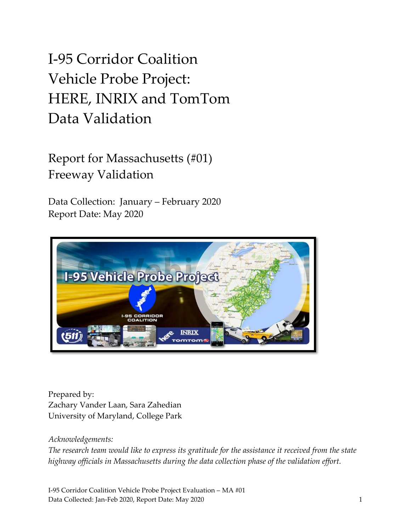# I-95 Corridor Coalition Vehicle Probe Project: HERE, INRIX and TomTom Data Validation

Report for Massachusetts (#01) Freeway Validation

Data Collection: January – February 2020 Report Date: May 2020



Prepared by: Zachary Vander Laan, Sara Zahedian University of Maryland, College Park

#### *Acknowledgements:*

*The research team would like to express its gratitude for the assistance it received from the state highway officials in Massachusetts during the data collection phase of the validation effort.* 

I-95 Corridor Coalition Vehicle Probe Project Evaluation – MA #01 Data Collected: Jan-Feb 2020, Report Date: May 2020 1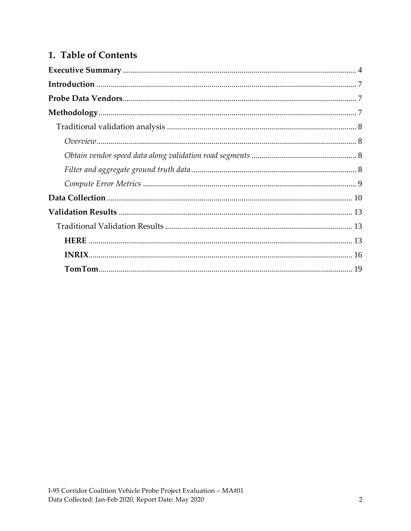### 1. Table of Contents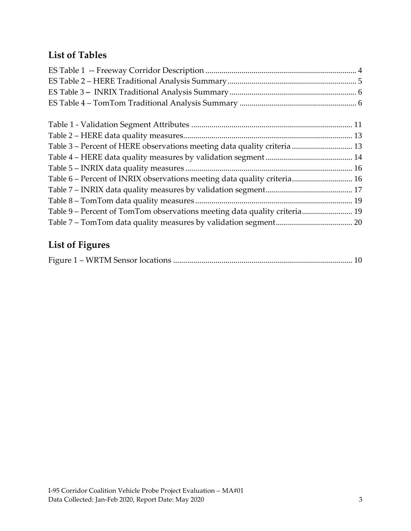### **List of Tables**

| Table 3 – Percent of HERE observations meeting data quality criteria  13  |  |
|---------------------------------------------------------------------------|--|
|                                                                           |  |
|                                                                           |  |
| Table 6 - Percent of INRIX observations meeting data quality criteria 16  |  |
|                                                                           |  |
|                                                                           |  |
| Table 9 – Percent of TomTom observations meeting data quality criteria 19 |  |
|                                                                           |  |

### **List of Figures**

|--|--|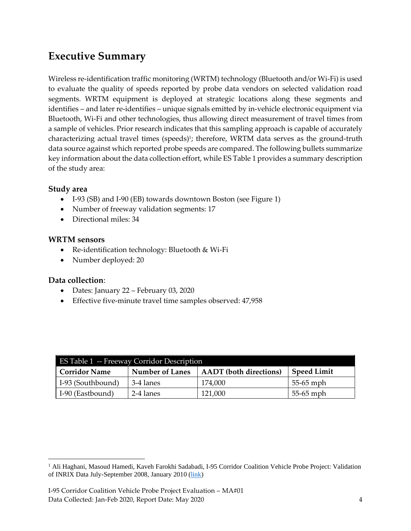### <span id="page-3-0"></span>**Executive Summary**

Wireless re-identification traffic monitoring (WRTM) technology (Bluetooth and/or Wi-Fi) is used to evaluate the quality of speeds reported by probe data vendors on selected validation road segments. WRTM equipment is deployed at strategic locations along these segments and identifies – and later re-identifies – unique signals emitted by in-vehicle electronic equipment via Bluetooth, Wi-Fi and other technologies, thus allowing direct measurement of travel times from a sample of vehicles. Prior research indicates that this sampling approach is capable of accurately characterizing actual travel times (speeds)<sup>1</sup>; therefore, WRTM data serves as the ground-truth data source against which reported probe speeds are compared. The following bullets summarize key information about the data collection effort, while ES Table 1 provides a summary description of the study area:

#### **Study area**

- I-93 (SB) and I-90 (EB) towards downtown Boston (see Figure 1)
- Number of freeway validation segments: 17
- Directional miles: 34

#### **WRTM sensors**

- Re-identification technology: Bluetooth & Wi-Fi
- Number deployed: 20

#### **Data collection**:

- Dates: January 22 February 03, 2020
- Effective five-minute travel time samples observed: 47,958

<span id="page-3-1"></span>

| <b>ES Table 1 -- Freeway Corridor Description</b> |                        |                               |                    |  |  |  |  |
|---------------------------------------------------|------------------------|-------------------------------|--------------------|--|--|--|--|
| <b>Corridor Name</b>                              | <b>Number of Lanes</b> | <b>AADT</b> (both directions) | <b>Speed Limit</b> |  |  |  |  |
| I-93 (Southbound)                                 | 3-4 lanes              | 174,000                       | 55-65 mph          |  |  |  |  |
| I-90 (Eastbound)                                  | 2-4 lanes              | 121,000                       | 55-65 mph          |  |  |  |  |

<sup>1</sup> Ali Haghani, Masoud Hamedi, Kaveh Farokhi Sadabadi, I-95 Corridor Coalition Vehicle Probe Project: Validation of INRIX Data July-September 2008, January 2010 [\(link\)](https://i95coalition.org/wp-content/uploads/2015/02/I-95-CC-Final-Report-Jan-28-2009.pdf?x70560)

I-95 Corridor Coalition Vehicle Probe Project Evaluation – MA#01 Data Collected: Jan-Feb 2020, Report Date: May 2020 4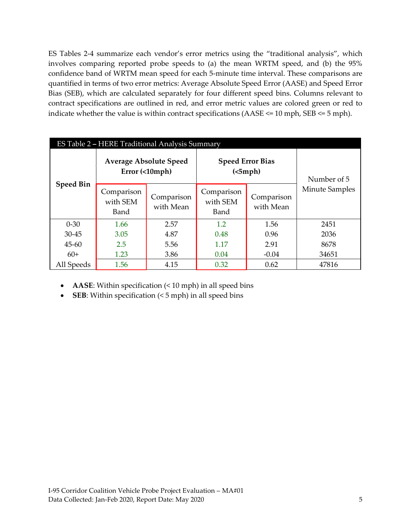ES Tables 2-4 summarize each vendor's error metrics using the "traditional analysis", which involves comparing reported probe speeds to (a) the mean WRTM speed, and (b) the 95% confidence band of WRTM mean speed for each 5-minute time interval. These comparisons are quantified in terms of two error metrics: Average Absolute Speed Error (AASE) and Speed Error Bias (SEB), which are calculated separately for four different speed bins. Columns relevant to contract specifications are outlined in red, and error metric values are colored green or red to indicate whether the value is within contract specifications (AASE <= 10 mph, SEB <= 5 mph).

<span id="page-4-0"></span>

| ES Table 2 - HERE Traditional Analysis Summary |                                                |                         |                                     |                         |                |  |  |  |
|------------------------------------------------|------------------------------------------------|-------------------------|-------------------------------------|-------------------------|----------------|--|--|--|
| <b>Speed Bin</b>                               | <b>Average Absolute Speed</b><br>Error(<10mph) |                         | <b>Speed Error Bias</b><br>(<5 mph) | Number of 5             |                |  |  |  |
|                                                | Comparison<br>with SEM<br>Band                 | Comparison<br>with Mean | Comparison<br>with SEM<br>Band      | Comparison<br>with Mean | Minute Samples |  |  |  |
| $0 - 30$                                       | 1.66                                           | 2.57                    | 1.2                                 | 1.56                    | 2451           |  |  |  |
| $30 - 45$                                      | 3.05                                           | 4.87                    | 0.48                                | 0.96                    | 2036           |  |  |  |
| $45 - 60$                                      | 2.5                                            | 5.56                    | 1.17                                | 2.91                    | 8678           |  |  |  |
| $60+$                                          | 1.23                                           | 3.86                    | 0.04                                | $-0.04$                 | 34651          |  |  |  |
| All Speeds                                     | 1.56                                           | 4.15                    | 0.32                                | 0.62                    | 47816          |  |  |  |

- **AASE**: Within specification (< 10 mph) in all speed bins
- **SEB**: Within specification (< 5 mph) in all speed bins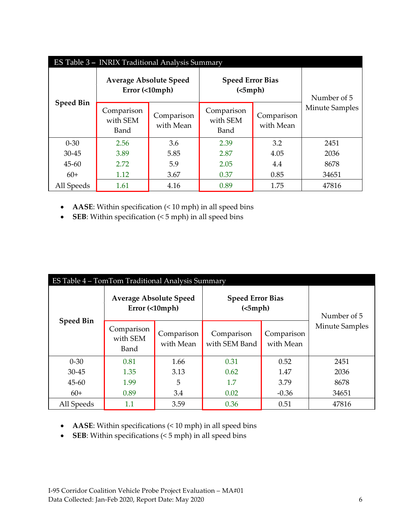<span id="page-5-0"></span>

| ES Table 3 - INRIX Traditional Analysis Summary |                                                 |                         |                                     |                         |                |  |  |  |
|-------------------------------------------------|-------------------------------------------------|-------------------------|-------------------------------------|-------------------------|----------------|--|--|--|
| <b>Speed Bin</b>                                | <b>Average Absolute Speed</b><br>Error (<10mph) |                         | <b>Speed Error Bias</b><br>(<5 mph) | Number of 5             |                |  |  |  |
|                                                 | Comparison<br>with SEM<br>Band                  | Comparison<br>with Mean | Comparison<br>with SEM<br>Band      | Comparison<br>with Mean | Minute Samples |  |  |  |
| $0 - 30$                                        | 2.56                                            | 3.6                     | 2.39                                | 3.2                     | 2451           |  |  |  |
| $30 - 45$                                       | 3.89                                            | 5.85                    | 2.87                                | 4.05                    | 2036           |  |  |  |
| $45 - 60$                                       | 2.72                                            | 5.9                     | 2.05                                | 4.4                     | 8678           |  |  |  |
| $60+$                                           | 1.12                                            | 3.67                    | 0.37                                | 0.85                    | 34651          |  |  |  |
| All Speeds                                      | 1.61                                            | 4.16                    | 0.89                                | 1.75                    | 47816          |  |  |  |

- **AASE**: Within specification (< 10 mph) in all speed bins
- **SEB**: Within specification (< 5 mph) in all speed bins

<span id="page-5-1"></span>

| ES Table 4 – TomTom Traditional Analysis Summary |                                                 |                         |                                     |                         |                |  |  |
|--------------------------------------------------|-------------------------------------------------|-------------------------|-------------------------------------|-------------------------|----------------|--|--|
| <b>Speed Bin</b>                                 | <b>Average Absolute Speed</b><br>Error (<10mph) |                         | <b>Speed Error Bias</b><br>(<5 mph) | Number of 5             |                |  |  |
|                                                  | Comparison<br>with SEM<br>Band                  | Comparison<br>with Mean | Comparison<br>with SEM Band         | Comparison<br>with Mean | Minute Samples |  |  |
| $0 - 30$                                         | 0.81                                            | 1.66                    | 0.31                                | 0.52                    | 2451           |  |  |
| $30 - 45$                                        | 1.35                                            | 3.13                    | 0.62                                | 1.47                    | 2036           |  |  |
| $45 - 60$                                        | 1.99                                            | 5                       | 1.7                                 | 3.79                    | 8678           |  |  |
| $60+$                                            | 0.89                                            | 3.4                     | 0.02                                | $-0.36$                 | 34651          |  |  |
| All Speeds                                       | 1.1                                             | 3.59                    | 0.36                                | 0.51                    | 47816          |  |  |

- **AASE**: Within specifications (< 10 mph) in all speed bins
- **SEB**: Within specifications (< 5 mph) in all speed bins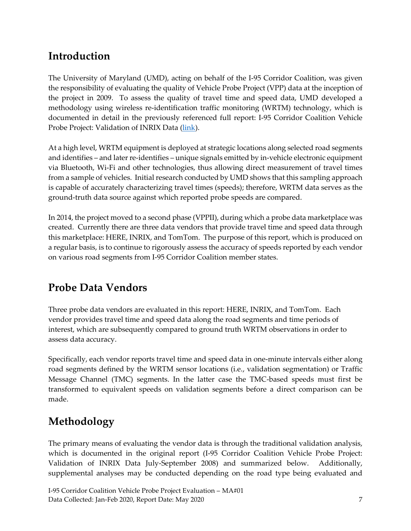## <span id="page-6-0"></span>**Introduction**

The University of Maryland (UMD), acting on behalf of the I-95 Corridor Coalition, was given the responsibility of evaluating the quality of Vehicle Probe Project (VPP) data at the inception of the project in 2009. To assess the quality of travel time and speed data, UMD developed a methodology using wireless re-identification traffic monitoring (WRTM) technology, which is documented in detail in the previously referenced full report: I-95 Corridor Coalition Vehicle Probe Project: Validation of INRIX Data [\(link\)](https://i95coalition.org/wp-content/uploads/2015/02/I-95-CC-Final-Report-Jan-28-2009.pdf?x70560).

At a high level, WRTM equipment is deployed at strategic locations along selected road segments and identifies – and later re-identifies – unique signals emitted by in-vehicle electronic equipment via Bluetooth, Wi-Fi and other technologies, thus allowing direct measurement of travel times from a sample of vehicles. Initial research conducted by UMD shows that this sampling approach is capable of accurately characterizing travel times (speeds); therefore, WRTM data serves as the ground-truth data source against which reported probe speeds are compared.

In 2014, the project moved to a second phase (VPPII), during which a probe data marketplace was created. Currently there are three data vendors that provide travel time and speed data through this marketplace: HERE, INRIX, and TomTom. The purpose of this report, which is produced on a regular basis, is to continue to rigorously assess the accuracy of speeds reported by each vendor on various road segments from I-95 Corridor Coalition member states.

# <span id="page-6-1"></span>**Probe Data Vendors**

Three probe data vendors are evaluated in this report: HERE, INRIX, and TomTom. Each vendor provides travel time and speed data along the road segments and time periods of interest, which are subsequently compared to ground truth WRTM observations in order to assess data accuracy.

Specifically, each vendor reports travel time and speed data in one-minute intervals either along road segments defined by the WRTM sensor locations (i.e., validation segmentation) or Traffic Message Channel (TMC) segments. In the latter case the TMC-based speeds must first be transformed to equivalent speeds on validation segments before a direct comparison can be made.

# <span id="page-6-2"></span>**Methodology**

The primary means of evaluating the vendor data is through the traditional validation analysis, which is documented in the original report (I-95 Corridor Coalition Vehicle Probe Project: Validation of INRIX Data July-September 2008) and summarized below. Additionally, supplemental analyses may be conducted depending on the road type being evaluated and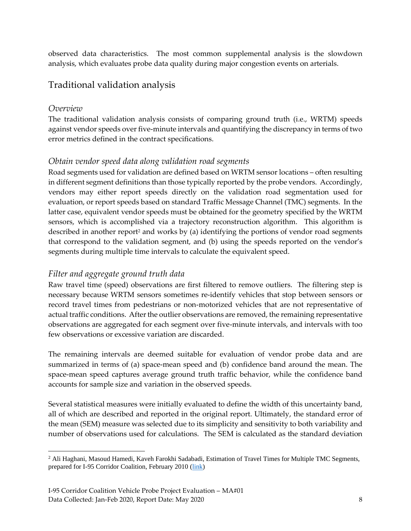observed data characteristics. The most common supplemental analysis is the slowdown analysis, which evaluates probe data quality during major congestion events on arterials.

#### <span id="page-7-0"></span>Traditional validation analysis

#### <span id="page-7-1"></span>*Overview*

The traditional validation analysis consists of comparing ground truth (i.e., WRTM) speeds against vendor speeds over five-minute intervals and quantifying the discrepancy in terms of two error metrics defined in the contract specifications.

#### <span id="page-7-2"></span>*Obtain vendor speed data along validation road segments*

Road segments used for validation are defined based on WRTM sensor locations – often resulting in different segment definitions than those typically reported by the probe vendors. Accordingly, vendors may either report speeds directly on the validation road segmentation used for evaluation, or report speeds based on standard Traffic Message Channel (TMC) segments. In the latter case, equivalent vendor speeds must be obtained for the geometry specified by the WRTM sensors, which is accomplished via a trajectory reconstruction algorithm. This algorithm is described in another report<sup>2</sup> and works by (a) identifying the portions of vendor road segments that correspond to the validation segment, and (b) using the speeds reported on the vendor's segments during multiple time intervals to calculate the equivalent speed.

#### <span id="page-7-3"></span>*Filter and aggregate ground truth data*

Raw travel time (speed) observations are first filtered to remove outliers. The filtering step is necessary because WRTM sensors sometimes re-identify vehicles that stop between sensors or record travel times from pedestrians or non-motorized vehicles that are not representative of actual traffic conditions. After the outlier observations are removed, the remaining representative observations are aggregated for each segment over five-minute intervals, and intervals with too few observations or excessive variation are discarded.

The remaining intervals are deemed suitable for evaluation of vendor probe data and are summarized in terms of (a) space-mean speed and (b) confidence band around the mean. The space-mean speed captures average ground truth traffic behavior, while the confidence band accounts for sample size and variation in the observed speeds.

Several statistical measures were initially evaluated to define the width of this uncertainty band, all of which are described and reported in the original report. Ultimately, the standard error of the mean (SEM) measure was selected due to its simplicity and sensitivity to both variability and number of observations used for calculations. The SEM is calculated as the standard deviation

<sup>&</sup>lt;sup>2</sup> Ali Haghani, Masoud Hamedi, Kaveh Farokhi Sadabadi, Estimation of Travel Times for Multiple TMC Segments, prepared for I-95 Corridor Coalition, February 2010 [\(link\)](http://www.i95coalition.org/wp-content/uploads/2015/02/I-95-CC-Estimation-of-Travel-Times-for-Multiple-TMC-Segments-FINAL2.pdf)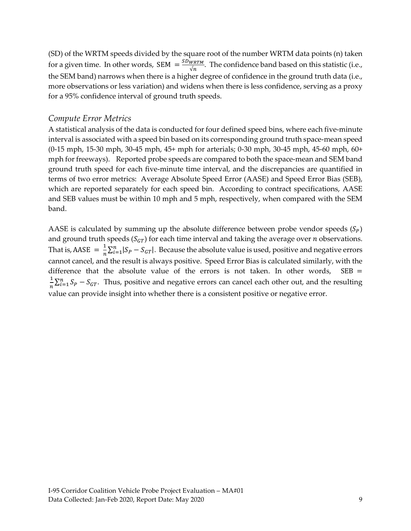(SD) of the WRTM speeds divided by the square root of the number WRTM data points (n) taken for a given time. In other words, SEM  $=\frac{SDWRTM}{\sqrt{n}}$  $\frac{WKTM}{\sqrt{n}}$ . The confidence band based on this statistic (i.e., the SEM band) narrows when there is a higher degree of confidence in the ground truth data (i.e., more observations or less variation) and widens when there is less confidence, serving as a proxy for a 95% confidence interval of ground truth speeds.

#### <span id="page-8-0"></span>*Compute Error Metrics*

A statistical analysis of the data is conducted for four defined speed bins, where each five-minute interval is associated with a speed bin based on its corresponding ground truth space-mean speed (0-15 mph, 15-30 mph, 30-45 mph, 45+ mph for arterials; 0-30 mph, 30-45 mph, 45-60 mph, 60+ mph for freeways). Reported probe speeds are compared to both the space-mean and SEM band ground truth speed for each five-minute time interval, and the discrepancies are quantified in terms of two error metrics: Average Absolute Speed Error (AASE) and Speed Error Bias (SEB), which are reported separately for each speed bin. According to contract specifications, AASE and SEB values must be within 10 mph and 5 mph, respectively, when compared with the SEM band.

AASE is calculated by summing up the absolute difference between probe vendor speeds  $(S_p)$ and ground truth speeds ( $S_{GT}$ ) for each time interval and taking the average over *n* observations. That is, AASE  $=$   $\frac{1}{n}$  $\frac{1}{n}\sum_{i=1}^{n} |S_P - S_{GT}|$ . Because the absolute value is used, positive and negative errors cannot cancel, and the result is always positive. Speed Error Bias is calculated similarly, with the difference that the absolute value of the errors is not taken. In other words,  $SEB =$ 1  $\frac{1}{n}\sum_{i=1}^{n} S_p - S_{GT}$ . Thus, positive and negative errors can cancel each other out, and the resulting value can provide insight into whether there is a consistent positive or negative error.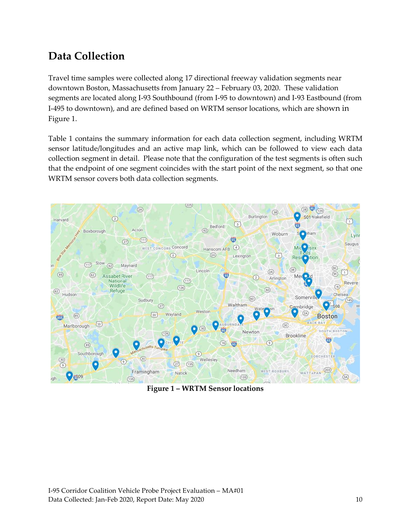## <span id="page-9-0"></span>**Data Collection**

Travel time samples were collected along 17 directional freeway validation segments near downtown Boston, Massachusetts from January 22 – February 03, 2020. These validation segments are located along I-93 Southbound (from I-95 to downtown) and I-93 Eastbound (from I-495 to downtown), and are defined based on WRTM sensor locations, which are shown in Figure 1.

Table 1 contains the summary information for each data collection segment, including WRTM sensor latitude/longitudes and an active map link, which can be followed to view each data collection segment in detail. Please note that the configuration of the test segments is often such that the endpoint of one segment coincides with the start point of the next segment, so that one WRTM sensor covers both data collection segments.

<span id="page-9-1"></span>

**Figure 1 – WRTM Sensor locations**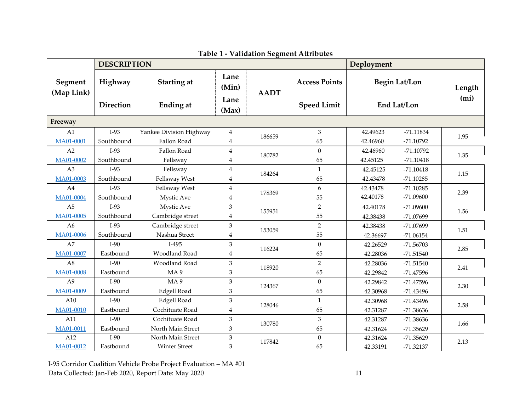<span id="page-10-0"></span>

|                               | <b>DESCRIPTION</b>          |                                           | Deployment                     |             |                                            |                                  |                                           |                             |
|-------------------------------|-----------------------------|-------------------------------------------|--------------------------------|-------------|--------------------------------------------|----------------------------------|-------------------------------------------|-----------------------------|
| Segment<br>(Map Link)         | Highway<br><b>Direction</b> | <b>Starting at</b><br>Ending at           | Lane<br>(Min)<br>Lane<br>(Max) | <b>AADT</b> | <b>Access Points</b><br><b>Speed Limit</b> |                                  | <b>Begin Lat/Lon</b><br>End Lat/Lon       | Length<br>(m <sub>i</sub> ) |
| Freeway                       |                             |                                           |                                |             |                                            |                                  |                                           |                             |
| A1<br>MA01-0001               | $I-93$<br>Southbound        | Yankee Division Highway<br>Fallon Road    | $\overline{4}$<br>4            | 186659      | 3<br>65                                    | 42.49623<br>42.46960             | $-71.11834$<br>$-71.10792$                | 1.95                        |
| A2<br>MA01-0002               | $I-93$<br>Southbound        | Fallon Road<br>Fellsway                   | $\overline{4}$<br>4            | 180782      | $\Omega$<br>65                             | 42.46960<br>42.45125             | $-71.10792$<br>$-71.10418$                | 1.35                        |
| A3<br>MA01-0003               | $I-93$<br>Southbound        | Fellsway<br>Fellsway West                 | $\overline{4}$<br>4            | 184264      | $\mathbf{1}$<br>65                         | 42.45125<br>42.43478             | $-71.10418$<br>$-71.10285$                | 1.15                        |
| A <sub>4</sub><br>MA01-0004   | $I-93$<br>Southbound        | Fellsway West<br>Mystic Ave               | $\overline{4}$<br>4            | 178369      | 6<br>55                                    | 42.43478<br>42.40178             | $-71.10285$<br>$-71.09600$                | 2.39                        |
| A <sub>5</sub><br>MA01-0005   | $I-93$<br>Southbound        | Mystic Ave<br>Cambridge street            | 3<br>4                         | 155951      | $\overline{2}$<br>55                       | 42.40178<br>42.38438             | $-71.09600$<br>-71.07699                  | 1.56                        |
| A <sub>6</sub><br>MA01-0006   | $I-93$<br>Southbound        | Cambridge street<br>Nashua Street         | 3<br>4                         | 153059      | $\overline{2}$<br>55                       | 42.38438<br>42.36697             | -71.07699<br>$-71.06154$                  | 1.51                        |
| A7<br>MA01-0007               | $I-90$<br>Eastbound         | $I-495$<br>Woodland Road                  | 3<br>4                         | 116224      | $\boldsymbol{0}$<br>65                     | 42.26529<br>42.28036             | $-71.56703$<br>$-71.51540$                | 2.85                        |
| A8<br>MA01-0008               | $I-90$<br>Eastbound         | Woodland Road<br>MA <sub>9</sub>          | 3<br>3                         | 118920      | $\overline{2}$<br>65                       | 42.28036<br>42.29842             | $-71.51540$<br>$-71.47596$                | 2.41                        |
| A <sup>9</sup><br>MA01-0009   | $I-90$<br>Eastbound         | MA <sub>9</sub><br><b>Edgell Road</b>     | 3<br>3                         | 124367      | $\mathbf{0}$<br>65                         | 42.29842<br>42.30968             | $-71.47596$<br>$-71.43496$                | 2.30                        |
| A10<br>MA01-0010              | $I-90$<br>Eastbound         | <b>Edgell Road</b><br>Cochituate Road     | 3<br>4                         | 128046      | $\mathbf{1}$<br>65                         | 42.30968                         | $-71.43496$<br>-71.38636                  | 2.58                        |
| A11                           | $I-90$<br>Eastbound         | Cochituate Road<br>North Main Street      | 3                              | 130780      | 3<br>65                                    | 42.31287<br>42.31287<br>42.31624 | $-71.38636$                               | 1.66                        |
| MA01-0011<br>A12<br>MA01-0012 | $I-90$<br>Eastbound         | North Main Street<br><b>Winter Street</b> | 3<br>$\,3$<br>3                | 117842      | $\mathbf{0}$<br>65                         | 42.31624<br>42.33191             | $-71.35629$<br>$-71.35629$<br>$-71.32137$ | 2.13                        |

**Table 1 - Validation Segment Attributes**

I-95 Corridor Coalition Vehicle Probe Project Evaluation – MA #01 Data Collected: Jan-Feb 2020, Report Date: May 2020 11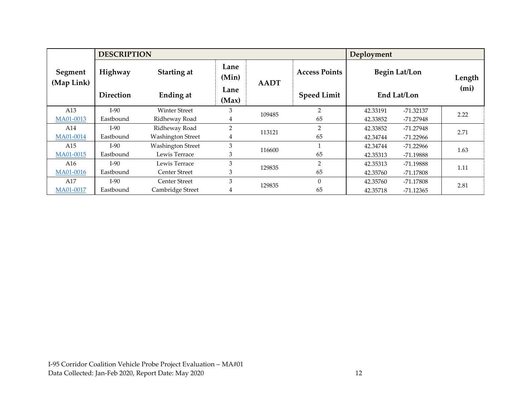| <b>DESCRIPTION</b><br>Deployment |                  |                          |                |             |                      |                                     |             |                   |
|----------------------------------|------------------|--------------------------|----------------|-------------|----------------------|-------------------------------------|-------------|-------------------|
| Segment<br>(Map Link)            | Highway          | Starting at              | Lane<br>(Min)  | <b>AADT</b> | <b>Access Points</b> | <b>Begin Lat/Lon</b><br>End Lat/Lon |             | Length            |
|                                  | <b>Direction</b> | Ending at                | Lane<br>(Max)  |             | <b>Speed Limit</b>   |                                     |             | (m <sub>i</sub> ) |
| A13                              | $I-90$           | <b>Winter Street</b>     | 3              | 109485      | $\overline{2}$       | 42.33191                            | $-71.32137$ | 2.22              |
| MA01-0013                        | Eastbound        | Ridheway Road            | 4              |             | 65                   | 42.33852                            | $-71.27948$ |                   |
| A14                              | $I-90$           | Ridheway Road            | $\overline{2}$ | 113121      | $\overline{2}$       | 42.33852                            | -71.27948   | 2.71              |
| MA01-0014                        | Eastbound        | <b>Washington Street</b> | 4              |             | 65                   | 42.34744                            | $-71.22966$ |                   |
| A15                              | $I-90$           | <b>Washington Street</b> | 3              | 116600      |                      | 42.34744                            | $-71.22966$ | 1.63              |
| MA01-0015                        | Eastbound        | Lewis Terrace            | 3              |             | 65                   | 42.35313                            | -71.19888   |                   |
| A16                              | $I-90$           | Lewis Terrace            | 3              | 129835      | $\overline{2}$       | 42.35313                            | -71.19888   | 1.11              |
| MA01-0016                        | Eastbound        | <b>Center Street</b>     | 3              |             | 65                   | 42.35760                            | $-71.17808$ |                   |
| A17                              | $I-90$           | Center Street            | 3              |             | $\Omega$             | 42.35760                            | -71.17808   |                   |
| MA01-0017                        | Eastbound        | Cambridge Street         | 4              | 129835      | 65                   | 42.35718                            | $-71.12365$ | 2.81              |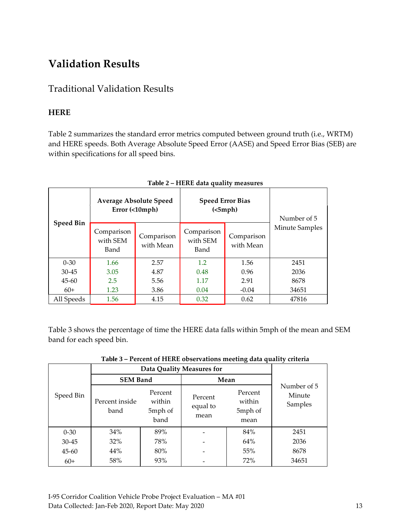# <span id="page-12-0"></span>**Validation Results**

### <span id="page-12-1"></span>Traditional Validation Results

#### <span id="page-12-2"></span>**HERE**

Table 2 summarizes the standard error metrics computed between ground truth (i.e., WRTM) and HERE speeds. Both Average Absolute Speed Error (AASE) and Speed Error Bias (SEB) are within specifications for all speed bins.

<span id="page-12-3"></span>

|                  | <b>Average Absolute Speed</b><br>Error (<10mph) |                         | <b>Speed Error Bias</b><br>(<5 mph) | Number of 5             |                |
|------------------|-------------------------------------------------|-------------------------|-------------------------------------|-------------------------|----------------|
| <b>Speed Bin</b> | Comparison<br>with SEM<br>Band                  | Comparison<br>with Mean | Comparison<br>with SEM<br>Band      | Comparison<br>with Mean | Minute Samples |
| $0 - 30$         | 1.66                                            | 2.57                    | 1.2                                 | 1.56                    | 2451           |
| $30 - 45$        | 3.05                                            | 4.87                    | 0.48                                | 0.96                    | 2036           |
| $45 - 60$        | 2.5                                             | 5.56                    | 1.17                                | 2.91                    | 8678           |
| $60+$            | 1.23                                            | 3.86                    | 0.04                                | $-0.04$                 | 34651          |
| All Speeds       | 1.56                                            | 4.15                    | 0.32                                | 0.62                    | 47816          |

#### **Table 2 – HERE data quality measures**

Table 3 shows the percentage of time the HERE data falls within 5mph of the mean and SEM band for each speed bin.

<span id="page-12-4"></span>

|           | Data Quality Measures for |                                      |                             |                                      |                                  |
|-----------|---------------------------|--------------------------------------|-----------------------------|--------------------------------------|----------------------------------|
|           | <b>SEM Band</b>           |                                      | Mean                        |                                      |                                  |
| Speed Bin | Percent inside<br>band    | Percent<br>within<br>5mph of<br>band | Percent<br>equal to<br>mean | Percent<br>within<br>5mph of<br>mean | Number of 5<br>Minute<br>Samples |
| $0 - 30$  | 34%                       | 89%                                  |                             | 84%                                  | 2451                             |
| $30 - 45$ | 32%                       | 78%                                  |                             | 64%                                  | 2036                             |
| $45 - 60$ | 44%                       | 80%                                  |                             | 55%                                  | 8678                             |
| $60+$     | 58%                       | 93%                                  |                             | 72%                                  | 34651                            |

**Table 3 – Percent of HERE observations meeting data quality criteria**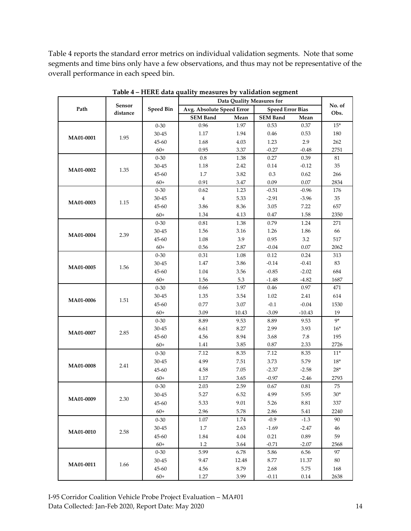Table 4 reports the standard error metrics on individual validation segments. Note that some segments and time bins only have a few observations, and thus may not be representative of the overall performance in each speed bin.

<span id="page-13-0"></span>

|                  | <b>Data Quality Measures for</b> |                  |                           |          |                         |          |                |
|------------------|----------------------------------|------------------|---------------------------|----------|-------------------------|----------|----------------|
| Path             | Sensor<br>distance               | <b>Speed Bin</b> | Avg. Absolute Speed Error |          | <b>Speed Error Bias</b> |          | No. of<br>Obs. |
|                  |                                  |                  | <b>SEM Band</b>           | Mean     | <b>SEM Band</b>         | Mean     |                |
|                  |                                  | $0 - 30$         | 0.96                      | 1.97     | 0.53                    | 0.37     | $15*$          |
| MA01-0001        | 1.95                             | $30 - 45$        | 1.17                      | 1.94     | 0.46                    | 0.53     | 180            |
|                  |                                  | 45-60            | 1.68                      | 4.03     | 1.23                    | 2.9      | 262            |
|                  |                                  | $60+$            | 0.95                      | 3.37     | $-0.27$                 | $-0.48$  | 2751           |
|                  |                                  | $0 - 30$         | $\rm 0.8$                 | 1.38     | 0.27                    | 0.39     | 81             |
| MA01-0002        | 1.35                             | $30 - 45$        | 1.18                      | 2.42     | 0.14                    | $-0.12$  | 35             |
|                  |                                  | 45-60            | 1.7                       | 3.82     | $0.3\,$                 | 0.62     | 266            |
|                  |                                  | $60+$            | 0.91                      | $3.47\,$ | 0.09                    | 0.07     | 2834           |
|                  |                                  | $0 - 30$         | 0.62                      | 1.23     | $-0.51$                 | $-0.96$  | 176            |
| MA01-0003        | 1.15                             | $30 - 45$        | $\bf{4}$                  | 5.33     | $-2.91$                 | $-3.96$  | 35             |
|                  |                                  | 45-60            | 3.86                      | 8.36     | 3.05                    | 7.22     | 657            |
|                  |                                  | $60+$            | 1.34                      | 4.13     | 0.47                    | 1.58     | 2350           |
|                  |                                  | $0 - 30$         | 0.81                      | 1.38     | 0.79                    | 1.24     | 271            |
| MA01-0004        | 2.39                             | $30 - 45$        | 1.56                      | 3.16     | 1.26                    | 1.86     | 66             |
|                  |                                  | 45-60            | 1.08                      | 3.9      | 0.95                    | 3.2      | 517            |
|                  |                                  | $60+$            | 0.56                      | 2.87     | $-0.04$                 | 0.07     | 2062           |
|                  |                                  | $0 - 30$         | 0.31                      | 1.08     | 0.12                    | 0.24     | 313            |
| MA01-0005        | 1.56                             | 30-45            | 1.47                      | 3.86     | $-0.14$                 | $-0.41$  | 83             |
|                  |                                  | 45-60            | 1.04                      | 3.56     | $-0.85$                 | $-2.02$  | 684            |
|                  |                                  | $60+$            | 1.56                      | 5.3      | $-1.48$                 | $-4.82$  | 1687           |
|                  | 1.51                             | $0 - 30$         | 0.66                      | 1.97     | 0.46                    | 0.97     | 471            |
| MA01-0006        |                                  | $30 - 45$        | 1.35                      | 3.54     | 1.02                    | 2.41     | 614            |
|                  |                                  | 45-60            | $0.77\,$                  | 3.07     | $-0.1$                  | $-0.04$  | 1530           |
|                  |                                  | $60+$            | 3.09                      | 10.43    | $-3.09$                 | $-10.43$ | 19             |
|                  |                                  | $0 - 30$         | 8.89                      | 9.53     | 8.89                    | 9.53     | 9*             |
| MA01-0007        | 2.85                             | $30 - 45$        | 6.61                      | 8.27     | 2.99                    | 3.93     | $16*$          |
|                  |                                  | 45-60            | 4.56                      | 8.94     | 3.68                    | $7.8\,$  | 195            |
|                  |                                  | $60+$            | 1.41                      | 3.85     | $0.87\,$                | 2.33     | 2726           |
|                  |                                  | $0 - 30$         | 7.12                      | 8.35     | 7.12                    | 8.35     | $11*$          |
| MA01-0008        | 2.41                             | 30-45            | 4.99                      | 7.51     | 3.73                    | 5.79     | $18*$          |
|                  |                                  | 45-60            | 4.58                      | 7.05     | $-2.37$                 | $-2.58$  | $28*$          |
|                  |                                  | $60+$            | 1.17                      | 3.65     | $-0.97$                 | $-2.46$  | 2793           |
|                  |                                  | $0 - 30$         | 2.03                      | 2.59     | 0.67                    | 0.81     | 75             |
| MA01-0009        | 2.30                             | $30 - 45$        | 5.27                      | 6.52     | 4.99                    | 5.95     | $30*$          |
|                  |                                  | 45-60            | 5.33                      | 9.01     | 5.26                    | 8.81     | 337            |
|                  |                                  | $60+$            | 2.96                      | 5.78     | 2.86                    | 5.41     | 2240           |
|                  |                                  | $0 - 30$         | 1.07                      | 1.74     | $-0.9$                  | $-1.3$   | 90             |
| <b>MA01-0010</b> | 2.58                             | 30-45            | 1.7                       | 2.63     | $-1.69$                 | $-2.47$  | 46             |
|                  |                                  | 45-60            | 1.84                      | 4.04     | 0.21                    | 0.89     | 59             |
|                  |                                  | $60+$            | 1.2                       | 3.64     | $-0.71$                 | $-2.07$  | 2568           |
|                  |                                  | $0 - 30$         | 5.99                      | 6.78     | 5.86                    | 6.56     | 97             |
| MA01-0011        | 1.66                             | $30 - 45$        | 9.47                      | 12.48    | 8.77                    | 11.37    | 80             |
|                  |                                  | 45-60            | 4.56                      | 8.79     | 2.68                    | 5.75     | 168            |
|                  |                                  | $60+$            | 1.27                      | 3.99     | $-0.11$                 | 0.14     | 2638           |

**Table 4 – HERE data quality measures by validation segment**

I-95 Corridor Coalition Vehicle Probe Project Evaluation – MA#01 Data Collected: Jan-Feb 2020, Report Date: May 2020 14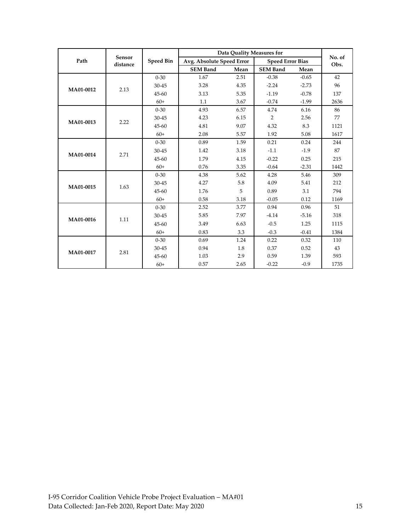|           |                    |                  | <b>Data Quality Measures for</b> |      |                         |         |                |
|-----------|--------------------|------------------|----------------------------------|------|-------------------------|---------|----------------|
| Path      | Sensor<br>distance | <b>Speed Bin</b> | Avg. Absolute Speed Error        |      | <b>Speed Error Bias</b> |         | No. of<br>Obs. |
|           |                    |                  | <b>SEM Band</b>                  | Mean | <b>SEM Band</b>         | Mean    |                |
|           |                    | $0 - 30$         | 1.67                             | 2.51 | $-0.38$                 | $-0.65$ | 42             |
| MA01-0012 | 2.13               | $30 - 45$        | 3.28                             | 4.35 | $-2.24$                 | $-2.73$ | 96             |
|           |                    | 45-60            | 3.13                             | 5.35 | $-1.19$                 | $-0.78$ | 137            |
|           |                    | $60+$            | 1.1                              | 3.67 | $-0.74$                 | $-1.99$ | 2636           |
|           |                    | $0 - 30$         | 4.93                             | 6.57 | 4.74                    | 6.16    | 86             |
| MA01-0013 | 2.22               | 30-45            | 4.23                             | 6.15 | 2                       | 2.56    | 77             |
|           |                    | 45-60            | 4.81                             | 9.07 | 4.32                    | 8.3     | 1121           |
|           |                    | $60+$            | 2.08                             | 5.57 | 1.92                    | 5.08    | 1617           |
|           | 2.71               | $0 - 30$         | 0.89                             | 1.59 | 0.21                    | 0.24    | 244            |
|           |                    | $30 - 45$        | 1.42                             | 3.18 | $-1.1$                  | $-1.9$  | 87             |
| MA01-0014 |                    | 45-60            | 1.79                             | 4.15 | $-0.22$                 | 0.25    | 215            |
|           |                    | $60+$            | 0.76                             | 3.35 | $-0.64$                 | $-2.31$ | 1442           |
|           | 1.63               | $0 - 30$         | 4.38                             | 5.62 | 4.28                    | 5.46    | 309            |
| MA01-0015 |                    | 30-45            | 4.27                             | 5.8  | 4.09                    | 5.41    | 212            |
|           |                    | 45-60            | 1.76                             | 5    | 0.89                    | 3.1     | 794            |
|           |                    | $60+$            | 0.58                             | 3.18 | $-0.05$                 | 0.12    | 1169           |
|           |                    | $0 - 30$         | 2.52                             | 3.77 | 0.94                    | 0.96    | 51             |
| MA01-0016 | 1.11               | 30-45            | 5.85                             | 7.97 | $-4.14$                 | $-5.16$ | 318            |
|           |                    | 45-60            | 3.49                             | 6.63 | $-0.5$                  | 1.25    | 1115           |
|           |                    | $60+$            | 0.83                             | 3.3  | $-0.3$                  | $-0.41$ | 1384           |
|           |                    | $0 - 30$         | 0.69                             | 1.24 | 0.22                    | 0.32    | 110            |
| MA01-0017 | 2.81               | 30-45            | 0.94                             | 1.8  | 0.37                    | 0.52    | 43             |
|           |                    | 45-60            | 1.03                             | 2.9  | 0.59                    | 1.39    | 593            |
|           |                    | $60+$            | 0.57                             | 2.65 | $-0.22$                 | $-0.9$  | 1735           |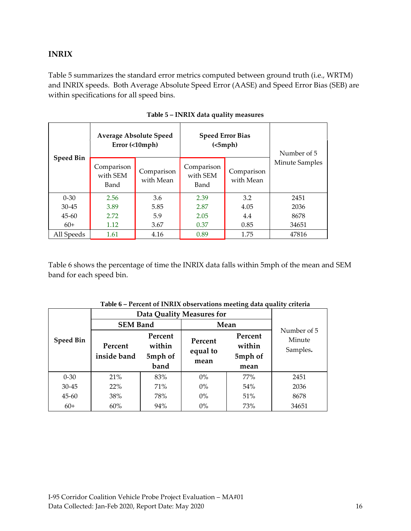#### <span id="page-15-0"></span>**INRIX**

Table 5 summarizes the standard error metrics computed between ground truth (i.e., WRTM) and INRIX speeds. Both Average Absolute Speed Error (AASE) and Speed Error Bias (SEB) are within specifications for all speed bins.

<span id="page-15-1"></span>

|                  |                                | <b>Average Absolute Speed</b><br>Error (<10mph) | <b>Speed Error Bias</b><br>(<5 mph) | Number of 5             |                       |
|------------------|--------------------------------|-------------------------------------------------|-------------------------------------|-------------------------|-----------------------|
| <b>Speed Bin</b> | Comparison<br>with SEM<br>Band | Comparison<br>with Mean                         | Comparison<br>with SEM<br>Band      | Comparison<br>with Mean | <b>Minute Samples</b> |
| $0 - 30$         | 2.56                           | 3.6                                             | 2.39                                | 3.2                     | 2451                  |
| $30 - 45$        | 3.89                           | 5.85                                            | 2.87                                | 4.05                    | 2036                  |
| $45 - 60$        | 2.72                           | 5.9                                             | 2.05                                | 4.4                     | 8678                  |
| $60+$            | 1.12                           | 3.67                                            | 0.37                                | 0.85                    | 34651                 |
| All Speeds       | 1.61                           | 4.16                                            | 0.89                                | 1.75                    | 47816                 |

| Table 5 - INRIX data quality measures |  |
|---------------------------------------|--|
|---------------------------------------|--|

Table 6 shows the percentage of time the INRIX data falls within 5mph of the mean and SEM band for each speed bin.

<span id="page-15-2"></span>

|                  |                           | ┙                                    |                             |                                      |                                   |  |
|------------------|---------------------------|--------------------------------------|-----------------------------|--------------------------------------|-----------------------------------|--|
|                  | Data Quality Measures for |                                      |                             |                                      |                                   |  |
|                  | <b>SEM Band</b>           |                                      | Mean                        |                                      |                                   |  |
| <b>Speed Bin</b> | Percent<br>inside band    | Percent<br>within<br>5mph of<br>band | Percent<br>equal to<br>mean | Percent<br>within<br>5mph of<br>mean | Number of 5<br>Minute<br>Samples. |  |
| $0 - 30$         | 21%                       | 83%                                  | $0\%$                       | 77%                                  | 2451                              |  |
| $30 - 45$        | 22%                       | 71%                                  | $0\%$                       | 54%                                  | 2036                              |  |
| $45 - 60$        | 38%                       | 78%                                  | $0\%$                       | 51%                                  | 8678                              |  |
| $60+$            | 60%                       | 94%                                  | $0\%$                       | 73%                                  | 34651                             |  |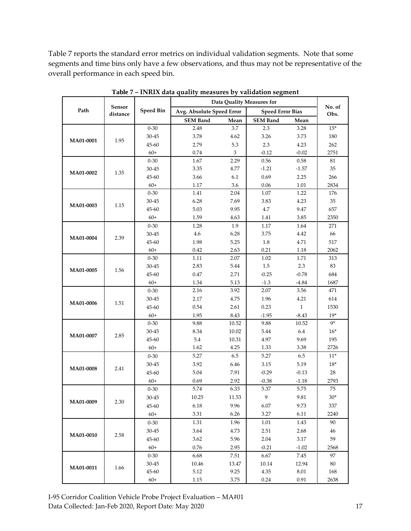Table 7 reports the standard error metrics on individual validation segments. Note that some segments and time bins only have a few observations, and thus may not be representative of the overall performance in each speed bin.

<span id="page-16-0"></span>

|           |                    |                  | Data Quality Measures for |                |                         |              |                |
|-----------|--------------------|------------------|---------------------------|----------------|-------------------------|--------------|----------------|
| Path      | Sensor<br>distance | <b>Speed Bin</b> | Avg. Absolute Speed Error |                | <b>Speed Error Bias</b> |              | No. of<br>Obs. |
|           |                    |                  | <b>SEM Band</b>           | Mean           | <b>SEM Band</b>         | Mean         |                |
|           |                    | $0 - 30$         | 2.48                      | 3.7            | $2.3\,$                 | 3.28         | $15*$          |
|           |                    | 30-45            | 3.78                      | 4.62           | 3.26                    | 3.73         | 180            |
| MA01-0001 | 1.95               | 45-60            | 2.79                      | 5.3            | 2.3                     | 4.23         | 262            |
|           |                    | $60+$            | 0.74                      | $\mathfrak{Z}$ | $-0.12$                 | $-0.02$      | 2751           |
|           |                    | $0 - 30$         | 1.67                      | 2.29           | 0.56                    | 0.58         | 81             |
|           | 1.35               | 30-45            | 3.35                      | 4.77           | $-1.21$                 | $-1.57$      | 35             |
| MA01-0002 |                    | 45-60            | 3.66                      | 6.1            | 0.69                    | 2.25         | 266            |
|           |                    | $60+$            | 1.17                      | 3.6            | 0.06                    | 1.01         | 2834           |
|           |                    | $0 - 30$         | 1.41                      | 2.04           | 1.07                    | 1.22         | 176            |
| MA01-0003 | 1.15               | 30-45            | 6.28                      | 7.69           | 3.83                    | 4.23         | 35             |
|           |                    | 45-60            | 5.03                      | 9.95           | 4.7                     | 9.47         | 657            |
|           |                    | $60+$            | 1.59                      | 4.63           | 1.41                    | 3.85         | 2350           |
|           |                    | $0 - 30$         | 1.28                      | 1.9            | $1.17\,$                | 1.64         | 271            |
| MA01-0004 | 2.39               | $30 - 45$        | 4.6                       | 6.28           | 3.75                    | 4.42         | 66             |
|           |                    | 45-60            | 1.98                      | 5.25           | 1.8                     | 4.71         | 517            |
|           |                    | $60+$            | 0.42                      | 2.63           | 0.21                    | 1.18         | 2062           |
|           |                    | $0 - 30$         | 1.11                      | 2.07           | 1.02                    | 1.71         | 313            |
| MA01-0005 | 1.56               | $30 - 45$        | 2.83                      | 5.44           | 1.5                     | 2.3          | 83             |
|           |                    | 45-60            | 0.47                      | 2.71           | $-0.25$                 | $-0.78$      | 684            |
|           |                    | $60+$            | 1.34                      | 5.13           | $-1.3$                  | $-4.84$      | 1687           |
|           |                    | $0 - 30$         | 2.16                      | 3.92           | 2.07                    | 3.56         | 471            |
| MA01-0006 | 1.51               | $30 - 45$        | 2.17                      | 4.75           | 1.96                    | 4.21         | 614            |
|           |                    | 45-60            | $0.54\,$                  | 2.61           | 0.23                    | $\mathbf{1}$ | 1530           |
|           |                    | $60+$            | 1.95                      | 8.43           | $-1.95$                 | $-8.43$      | $19*$          |
|           |                    | $0 - 30$         | 9.88                      | 10.52          | 9.88                    | 10.52        | $9*$           |
| MA01-0007 | 2.85               | 30-45            | 8.34                      | 10.02          | 5.44                    | 6.4          | $16*$          |
|           |                    | 45-60            | 5.4                       | 10.31          | 4.97                    | 9.69         | 195            |
|           |                    | $60+$            | 1.62                      | 4.25           | 1.33                    | 3.38         | 2726           |
|           |                    | $0 - 30$         | 5.27                      | 6.5            | 5.27                    | 6.5          | $11*$          |
| MA01-0008 | 2.41               | $30 - 45$        | 3.92                      | 6.46           | $3.15\,$                | 5.19         | $18*$          |
|           |                    | 45-60            | 5.04                      | 7.91           | $-0.29$                 | $-0.13$      | 28             |
|           |                    | $60+$            | 0.69                      | 2.92           | $-0.38$                 | $-1.18$      | 2793           |
|           |                    | $0 - 30$         | 5.74                      | 6.33           | 5.37                    | 5.75         | 75             |
| MA01-0009 | 2.30               | $30 - 45$        | 10.25                     | 11.53          | 9                       | 9.81         | $30^{\ast}$    |
|           |                    | 45-60            | 6.18                      | 9.96           | 6.07                    | 9.73         | 337            |
|           |                    | $60+$            | 3.31                      | 6.26           | 3.27                    | 6.11         | 2240           |
|           |                    | $0 - 30$         | 1.31                      | 1.96           | 1.01                    | 1.43         | 90             |
| MA01-0010 | 2.58               | 30-45            | 3.64                      | 4.73           | 2.51                    | 2.68         | 46             |
|           |                    | 45-60            | 3.62                      | 5.96           | 2.04                    | 3.17         | 59             |
|           |                    | $60+$            | 0.76                      | 2.95           | $-0.21$                 | $-1.02$      | 2568           |
|           |                    | $0 - 30$         | 6.68                      | 7.51           | 6.67                    | 7.45         | 97             |
| MA01-0011 | 1.66               | 30-45            | 10.46                     | 13.47          | 10.14                   | 12.94        | 80             |
|           |                    | 45-60            | 5.12                      | 9.25           | 4.35                    | 8.01         | 168            |
|           |                    | $60+$            | 1.15                      | 3.75           | 0.24                    | 0.91         | 2638           |

**Table 7 – INRIX data quality measures by validation segment**

I-95 Corridor Coalition Vehicle Probe Project Evaluation – MA#01 Data Collected: Jan-Feb 2020, Report Date: May 2020 17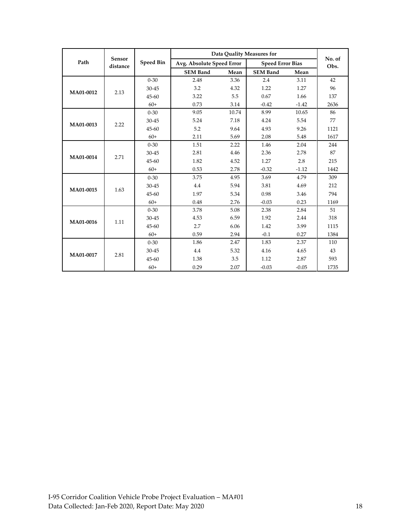|           |                    |                  | Data Quality Measures for | No. of |                         |         |      |
|-----------|--------------------|------------------|---------------------------|--------|-------------------------|---------|------|
| Path      | Sensor<br>distance | <b>Speed Bin</b> | Avg. Absolute Speed Error |        | <b>Speed Error Bias</b> |         | Obs. |
|           |                    |                  | <b>SEM Band</b>           | Mean   | <b>SEM Band</b>         | Mean    |      |
|           |                    | $0 - 30$         | 2.48                      | 3.36   | 2.4                     | 3.11    | 42   |
| MA01-0012 | 2.13               | 30-45            | 3.2                       | 4.32   | 1.22                    | 1.27    | 96   |
|           |                    | 45-60            | 3.22                      | 5.5    | 0.67                    | 1.66    | 137  |
|           |                    | $60+$            | 0.73                      | 3.14   | $-0.42$                 | $-1.42$ | 2636 |
|           |                    | $0 - 30$         | 9.05                      | 10.74  | 8.99                    | 10.65   | 86   |
| MA01-0013 | 2.22               | 30-45            | 5.24                      | 7.18   | 4.24                    | 5.54    | 77   |
|           |                    | 45-60            | 5.2                       | 9.64   | 4.93                    | 9.26    | 1121 |
|           |                    | $60+$            | 2.11                      | 5.69   | 2.08                    | 5.48    | 1617 |
|           | 2.71               | $0 - 30$         | 1.51                      | 2.22   | 1.46                    | 2.04    | 244  |
| MA01-0014 |                    | 30-45            | 2.81                      | 4.46   | 2.36                    | 2.78    | 87   |
|           |                    | 45-60            | 1.82                      | 4.52   | 1.27                    | 2.8     | 215  |
|           |                    | $60+$            | 0.53                      | 2.78   | $-0.32$                 | $-1.12$ | 1442 |
|           |                    | $0 - 30$         | 3.75                      | 4.95   | 3.69                    | 4.79    | 309  |
| MA01-0015 | 1.63               | 30-45            | 4.4                       | 5.94   | 3.81                    | 4.69    | 212  |
|           |                    | 45-60            | 1.97                      | 5.34   | 0.98                    | 3.46    | 794  |
|           |                    | $60+$            | 0.48                      | 2.76   | $-0.03$                 | 0.23    | 1169 |
|           |                    | $0 - 30$         | 3.78                      | 5.08   | 2.38                    | 2.84    | 51   |
| MA01-0016 | 1.11               | 30-45            | 4.53                      | 6.59   | 1.92                    | 2.44    | 318  |
|           |                    | 45-60            | 2.7                       | 6.06   | 1.42                    | 3.99    | 1115 |
|           |                    | $60+$            | 0.59                      | 2.94   | $-0.1$                  | 0.27    | 1384 |
|           |                    | $0 - 30$         | 1.86                      | 2.47   | 1.83                    | 2.37    | 110  |
| MA01-0017 | 2.81               | 30-45            | 4.4                       | 5.32   | 4.16                    | 4.65    | 43   |
|           |                    | 45-60            | 1.38                      | 3.5    | 1.12                    | 2.87    | 593  |
|           |                    | $60+$            | 0.29                      | 2.07   | $-0.03$                 | $-0.05$ | 1735 |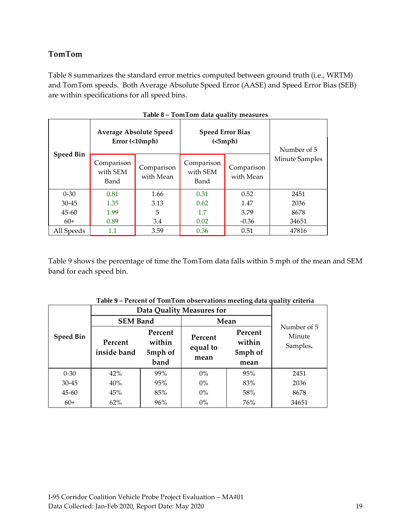#### <span id="page-18-0"></span>**TomTom**

Table 8 summarizes the standard error metrics computed between ground truth (i.e., WRTM) and TomTom speeds. Both Average Absolute Speed Error (AASE) and Speed Error Bias (SEB) are within specifications for all speed bins.

<span id="page-18-1"></span>

|                  | <b>Average Absolute Speed</b><br>Error (<10mph) |                         | <b>Speed Error Bias</b><br>(<5 mph) | Number of 5             |                       |
|------------------|-------------------------------------------------|-------------------------|-------------------------------------|-------------------------|-----------------------|
| <b>Speed Bin</b> | Comparison<br>with SEM<br>Band                  | Comparison<br>with Mean | Comparison<br>with SEM<br>Band      | Comparison<br>with Mean | <b>Minute Samples</b> |
| $0 - 30$         | 0.81                                            | 1.66                    | 0.31                                | 0.52                    | 2451                  |
| $30 - 45$        | 1.35                                            | 3.13                    | 0.62                                | 1.47                    | 2036                  |
| $45 - 60$        | 1.99                                            | 5                       | 1.7                                 | 3.79                    | 8678                  |
| $60+$            | 0.89                                            | 3.4                     | 0.02                                | $-0.36$                 | 34651                 |
| All Speeds       | $1.1\,$                                         | 3.59                    | 0.36                                | 0.51                    | 47816                 |

Table 9 shows the percentage of time the TomTom data falls within 5 mph of the mean and SEM band for each speed bin.

<span id="page-18-2"></span>

| Table 9 – I eltent of Tom Folli observations meeting data quality criteria |                           |                              |                             |                              |                                   |  |  |  |
|----------------------------------------------------------------------------|---------------------------|------------------------------|-----------------------------|------------------------------|-----------------------------------|--|--|--|
|                                                                            | Data Quality Measures for |                              |                             |                              |                                   |  |  |  |
|                                                                            | <b>SEM Band</b>           |                              | Mean                        |                              |                                   |  |  |  |
| <b>Speed Bin</b>                                                           | Percent<br>inside band    | Percent<br>within<br>5mph of | Percent<br>equal to<br>mean | Percent<br>within<br>5mph of | Number of 5<br>Minute<br>Samples. |  |  |  |
|                                                                            |                           | band                         |                             | mean                         |                                   |  |  |  |
| $0 - 30$                                                                   | 42%                       | 99%                          | $0\%$                       | 95%                          | 2451                              |  |  |  |
| 30-45                                                                      | 40%                       | 95%                          | $0\%$                       | 83%                          | 2036                              |  |  |  |
| $45 - 60$                                                                  | 45%                       | 85%                          | $0\%$                       | 58%                          | 8678                              |  |  |  |
| $60+$                                                                      | 62%                       | 96%                          | $0\%$                       | 76%                          | 34651                             |  |  |  |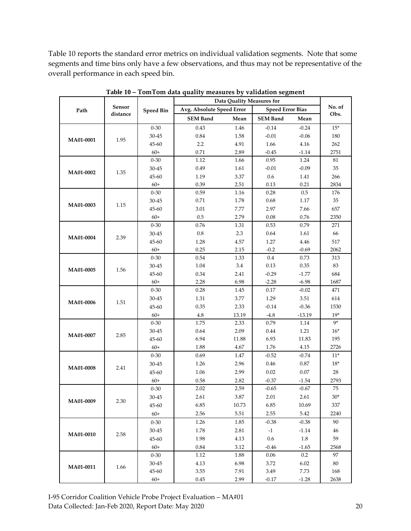Table 10 reports the standard error metrics on individual validation segments. Note that some segments and time bins only have a few observations, and thus may not be representative of the overall performance in each speed bin.

<span id="page-19-0"></span>

|           |          |                   | <b>Data Quality Measures for</b> |               |                         |              |               |
|-----------|----------|-------------------|----------------------------------|---------------|-------------------------|--------------|---------------|
| Path      | Sensor   | <b>Speed Bin</b>  | Avg. Absolute Speed Error        |               | <b>Speed Error Bias</b> | No. of       |               |
|           | distance |                   | <b>SEM Band</b>                  | Mean          | <b>SEM Band</b>         | Mean         | Obs.          |
|           |          | $0 - 30$          | 0.43                             | 1.46          | $-0.14$                 | $-0.24$      | $15*$         |
| MA01-0001 | 1.95     | $30 - 45$         | 0.84                             | 1.58          | $-0.01$                 | $-0.06$      | 180           |
|           |          | 45-60             | 2.2                              | 4.91          | 1.66                    | 4.16         | 262           |
|           |          | $60+$             | 0.71                             | 2.89          | $-0.45$                 | $-1.14$      | 2751          |
|           |          | $0 - 30$          | 1.12                             | 1.66          | 0.95                    | 1.24         | 81            |
| MA01-0002 | 1.35     | 30-45             | 0.49                             | 1.61          | $-0.01$                 | $-0.09$      | 35            |
|           |          | 45-60             | 1.19                             | 3.37          | 0.6                     | 1.41         | 266           |
|           |          | $60+$             | 0.39                             | 2.51          | 0.13                    | 0.21         | 2834          |
|           |          | $0 - 30$          | 0.59                             | 1.16          | 0.28                    | 0.5          | 176           |
| MA01-0003 | 1.15     | 30-45             | 0.71                             | 1.78          | 0.68                    | 1.17         | 35            |
|           |          | 45-60             | 3.01                             | 7.77          | 2.97                    | 7.66         | 657           |
|           |          | $60+$             | 0.5                              | 2.79          | 0.08                    | 0.76         | 2350          |
|           |          | $0 - 30$          | 0.76                             | 1.31          | 0.53                    | 0.79         | 271           |
| MA01-0004 | 2.39     | 30-45             | 0.8                              | 2.3           | 0.64                    | 1.61         | 66            |
|           |          | 45-60             | 1.28                             | 4.57          | 1.27                    | 4.46         | 517           |
|           |          | $60+$             | 0.25                             | 2.15          | $-0.2$                  | $-0.69$      | 2062          |
|           | 1.56     | $0 - 30$          | 0.54                             | 1.33          | $0.4\,$                 | 0.73         | 313           |
| MA01-0005 |          | 30-45             | 1.04                             | 3.4           | 0.13                    | 0.35         | 83            |
|           |          | 45-60             | 0.34                             | 2.41          | $-0.29$                 | $-1.77$      | 684           |
|           |          | $60+$             | 2.28                             | 6.98          | $-2.28$                 | $-6.98$      | 1687          |
|           | 1.51     | $0 - 30$          | 0.28                             | 1.45          | 0.17                    | $-0.02$      | 471           |
| MA01-0006 |          | 30-45             | 1.31                             | 3.77          | 1.29                    | 3.51         | 614           |
|           |          | 45-60             | 0.35                             | 2.33          | $-0.14$                 | $-0.36$      | 1530          |
|           |          | $60+$             | 4.8<br>1.75                      | 13.19<br>2.33 | $-4.8$<br>0.79          | $-13.19$     | $19*$<br>$9*$ |
|           |          | $0 - 30$<br>30-45 | 0.64                             | 2.09          |                         | 1.14<br>1.21 | $16*$         |
| MA01-0007 | 2.85     | 45-60             | 6.94                             | 11.88         | 0.44<br>6.93            | 11.83        | 195           |
|           |          | $60+$             | 1.88                             | 4.67          | $1.76\,$                | 4.15         | 2726          |
|           |          | $0 - 30$          | 0.69                             | 1.47          | $-0.52$                 | $-0.74$      | $11*$         |
|           |          | 30-45             | 1.26                             | 2.96          | 0.46                    | 0.87         | $18*$         |
| MA01-0008 | 2.41     | 45-60             | 1.06                             | 2.99          | 0.02                    | 0.07         | 28            |
|           |          | $60+$             | 0.58                             | 2.82          | $-0.37$                 | $-1.54$      | 2793          |
|           |          | $0 - 30$          | 2.02                             | 2.59          | $-0.65$                 | $-0.67$      | 75            |
|           |          | $30 - 45$         | 2.61                             | 3.87          | 2.01                    | 2.61         | $30*$         |
| MA01-0009 | 2.30     | 45-60             | 6.85                             | 10.73         | 6.85                    | 10.69        | 337           |
|           |          | $60+$             | 2.56                             | 5.51          | 2.55                    | 5.42         | 2240          |
|           |          | $0 - 30$          | 1.26                             | 1.85          | $-0.38$                 | $-0.38$      | 90            |
|           |          | 30-45             | 1.78                             | 2.81          | $-1$                    | $-1.14$      | 46            |
| MA01-0010 | 2.58     | 45-60             | 1.98                             | 4.13          | 0.6                     | 1.8          | 59            |
|           |          | $60+$             | 0.84                             | 3.12          | $-0.46$                 | $-1.65$      | 2568          |
|           |          | $0 - 30$          | 1.12                             | 1.88          | 0.06                    | 0.2          | 97            |
|           |          | 30-45             | 4.13                             | 6.98          | 3.72                    | 6.02         | 80            |
| MA01-0011 | 1.66     | 45-60             | 3.55                             | 7.91          | 3.49                    | 7.73         | 168           |
|           |          | $60+$             | 0.45                             | 2.99          | $-0.17$                 | $-1.28$      | 2638          |
|           |          |                   |                                  |               |                         |              |               |

**Table 10 – TomTom data quality measures by validation segment**

I-95 Corridor Coalition Vehicle Probe Project Evaluation – MA#01 Data Collected: Jan-Feb 2020, Report Date: May 2020 20